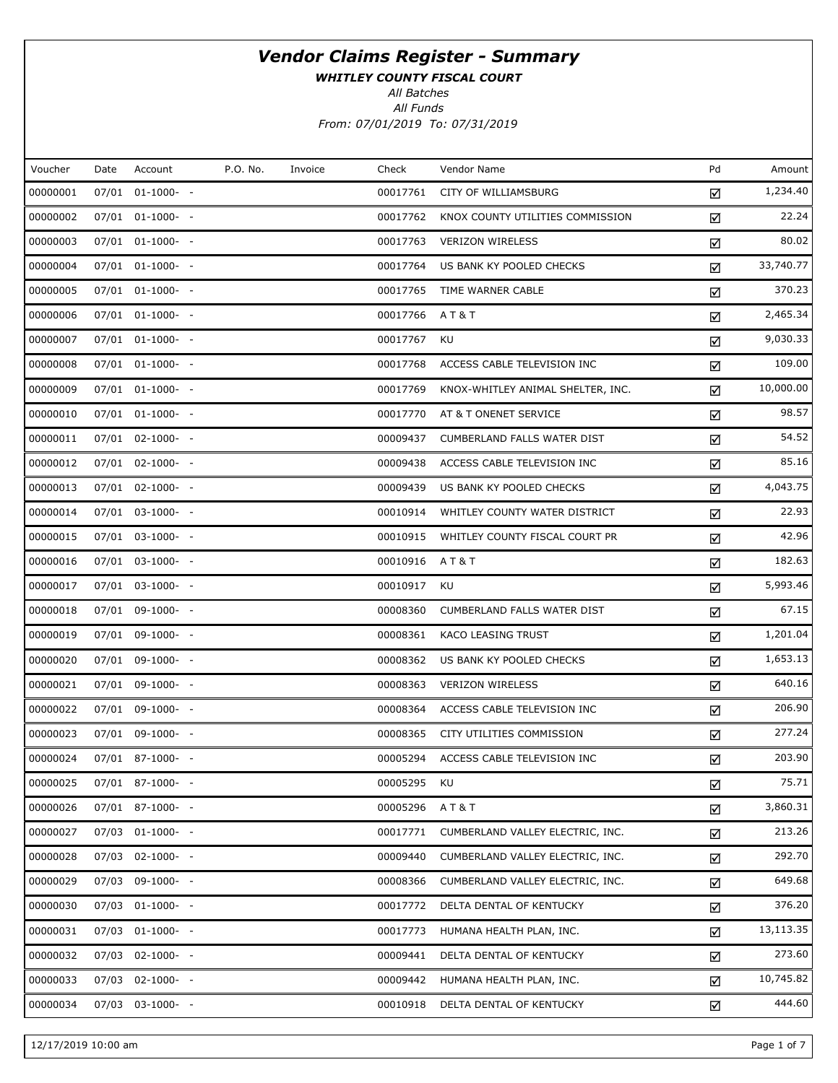WHITLEY COUNTY FISCAL COURT

All Batches

All Funds From: 07/01/2019 To: 07/31/2019

| Voucher  | Date | Account          | P.O. No. | Invoice | Check    | Vendor Name                       | Pd | Amount    |
|----------|------|------------------|----------|---------|----------|-----------------------------------|----|-----------|
| 00000001 |      | 07/01 01-1000- - |          |         | 00017761 | CITY OF WILLIAMSBURG              | ☑  | 1,234.40  |
| 00000002 |      | 07/01 01-1000- - |          |         | 00017762 | KNOX COUNTY UTILITIES COMMISSION  | ☑  | 22.24     |
| 00000003 |      | 07/01 01-1000- - |          |         | 00017763 | <b>VERIZON WIRELESS</b>           | ☑  | 80.02     |
| 00000004 |      | 07/01 01-1000- - |          |         | 00017764 | US BANK KY POOLED CHECKS          | ☑  | 33,740.77 |
| 00000005 |      | 07/01 01-1000- - |          |         | 00017765 | TIME WARNER CABLE                 | ☑  | 370.23    |
| 00000006 |      | 07/01 01-1000- - |          |         | 00017766 | A T & T                           | ☑  | 2,465.34  |
| 00000007 |      | 07/01 01-1000- - |          |         | 00017767 | KU                                | ☑  | 9,030.33  |
| 00000008 |      | 07/01 01-1000- - |          |         | 00017768 | ACCESS CABLE TELEVISION INC       | ☑  | 109.00    |
| 00000009 |      | 07/01 01-1000- - |          |         | 00017769 | KNOX-WHITLEY ANIMAL SHELTER, INC. | ☑  | 10,000.00 |
| 00000010 |      | 07/01 01-1000- - |          |         | 00017770 | AT & T ONENET SERVICE             | ☑  | 98.57     |
| 00000011 |      | 07/01 02-1000- - |          |         | 00009437 | CUMBERLAND FALLS WATER DIST       | ☑  | 54.52     |
| 00000012 |      | 07/01 02-1000- - |          |         | 00009438 | ACCESS CABLE TELEVISION INC       | ☑  | 85.16     |
| 00000013 |      | 07/01 02-1000- - |          |         | 00009439 | US BANK KY POOLED CHECKS          | ☑  | 4,043.75  |
| 00000014 |      | 07/01 03-1000- - |          |         | 00010914 | WHITLEY COUNTY WATER DISTRICT     | ☑  | 22.93     |
| 00000015 |      | 07/01 03-1000- - |          |         | 00010915 | WHITLEY COUNTY FISCAL COURT PR    | ☑  | 42.96     |
| 00000016 |      | 07/01 03-1000- - |          |         | 00010916 | <b>AT&amp;T</b>                   | ☑  | 182.63    |
| 00000017 |      | 07/01 03-1000- - |          |         | 00010917 | KU                                | ☑  | 5,993.46  |
| 00000018 |      | 07/01 09-1000- - |          |         | 00008360 | CUMBERLAND FALLS WATER DIST       | ☑  | 67.15     |
| 00000019 |      | 07/01 09-1000- - |          |         | 00008361 | KACO LEASING TRUST                | ☑  | 1,201.04  |
| 00000020 |      | 07/01 09-1000- - |          |         | 00008362 | US BANK KY POOLED CHECKS          | ☑  | 1,653.13  |
| 00000021 |      | 07/01 09-1000- - |          |         | 00008363 | <b>VERIZON WIRELESS</b>           | ☑  | 640.16    |
| 00000022 |      | 07/01 09-1000- - |          |         | 00008364 | ACCESS CABLE TELEVISION INC       | ☑  | 206.90    |
| 00000023 |      | 07/01 09-1000- - |          |         | 00008365 | CITY UTILITIES COMMISSION         | ☑  | 277.24    |
| 00000024 |      | 07/01 87-1000- - |          |         | 00005294 | ACCESS CABLE TELEVISION INC       | ☑  | 203.90    |
| 00000025 |      | 07/01 87-1000- - |          |         | 00005295 | KU                                | ☑  | 75.71     |
| 00000026 |      | 07/01 87-1000- - |          |         | 00005296 | AT&T                              | ☑  | 3,860.31  |
| 00000027 |      | 07/03 01-1000- - |          |         | 00017771 | CUMBERLAND VALLEY ELECTRIC, INC.  | ☑  | 213.26    |
| 00000028 |      | 07/03 02-1000- - |          |         | 00009440 | CUMBERLAND VALLEY ELECTRIC, INC.  | ☑  | 292.70    |
| 00000029 |      | 07/03 09-1000- - |          |         | 00008366 | CUMBERLAND VALLEY ELECTRIC, INC.  | ☑  | 649.68    |
| 00000030 |      | 07/03 01-1000- - |          |         | 00017772 | DELTA DENTAL OF KENTUCKY          | ☑  | 376.20    |
| 00000031 |      | 07/03 01-1000- - |          |         | 00017773 | HUMANA HEALTH PLAN, INC.          | ☑  | 13,113.35 |
| 00000032 |      | 07/03 02-1000- - |          |         | 00009441 | DELTA DENTAL OF KENTUCKY          | ☑  | 273.60    |
| 00000033 |      | 07/03 02-1000- - |          |         | 00009442 | HUMANA HEALTH PLAN, INC.          | ☑  | 10,745.82 |
| 00000034 |      | 07/03 03-1000- - |          |         | 00010918 | DELTA DENTAL OF KENTUCKY          | ☑  | 444.60    |

12/17/2019 10:00 am Page 1 of 7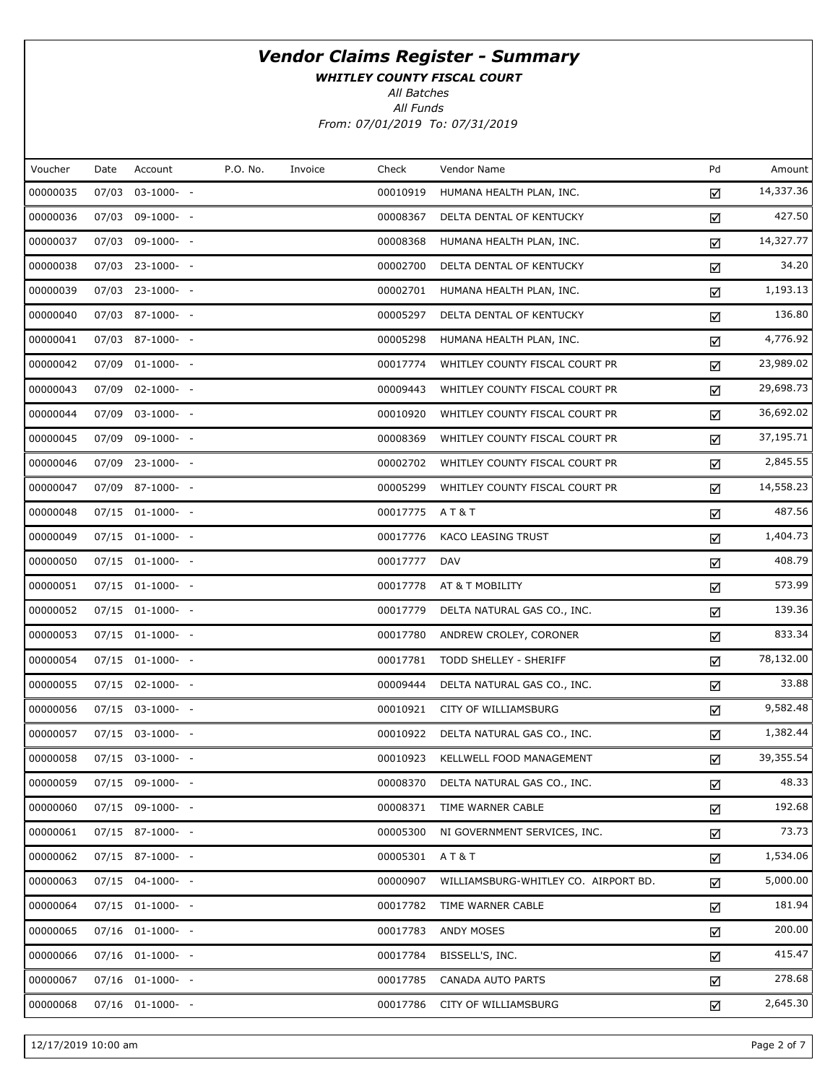WHITLEY COUNTY FISCAL COURT

All Batches

All Funds From: 07/01/2019 To: 07/31/2019

| Voucher  | Date  | Account               | P.O. No. | Invoice | Check    | Vendor Name                          | Pd | Amount    |
|----------|-------|-----------------------|----------|---------|----------|--------------------------------------|----|-----------|
| 00000035 | 07/03 | $03-1000- -$          |          |         | 00010919 | HUMANA HEALTH PLAN, INC.             | ☑  | 14,337.36 |
| 00000036 |       | 07/03 09-1000- -      |          |         | 00008367 | DELTA DENTAL OF KENTUCKY             | ☑  | 427.50    |
| 00000037 | 07/03 | 09-1000- -            |          |         | 00008368 | HUMANA HEALTH PLAN, INC.             | ☑  | 14,327.77 |
| 00000038 |       | 07/03 23-1000- -      |          |         | 00002700 | DELTA DENTAL OF KENTUCKY             | ☑  | 34.20     |
| 00000039 |       | $07/03$ 23-1000- -    |          |         | 00002701 | HUMANA HEALTH PLAN, INC.             | ☑  | 1,193.13  |
| 00000040 |       | 07/03 87-1000- -      |          |         | 00005297 | DELTA DENTAL OF KENTUCKY             | ☑  | 136.80    |
| 00000041 |       | 07/03 87-1000- -      |          |         | 00005298 | HUMANA HEALTH PLAN, INC.             | ☑  | 4,776.92  |
| 00000042 |       | 07/09 01-1000- -      |          |         | 00017774 | WHITLEY COUNTY FISCAL COURT PR       | ☑  | 23,989.02 |
| 00000043 |       | 07/09 02-1000- -      |          |         | 00009443 | WHITLEY COUNTY FISCAL COURT PR       | ☑  | 29,698.73 |
| 00000044 |       | 07/09 03-1000- -      |          |         | 00010920 | WHITLEY COUNTY FISCAL COURT PR       | ☑  | 36,692.02 |
| 00000045 | 07/09 | 09-1000- -            |          |         | 00008369 | WHITLEY COUNTY FISCAL COURT PR       | ☑  | 37,195.71 |
| 00000046 |       | 07/09 23-1000- -      |          |         | 00002702 | WHITLEY COUNTY FISCAL COURT PR       | ☑  | 2,845.55  |
| 00000047 |       | 07/09 87-1000- -      |          |         | 00005299 | WHITLEY COUNTY FISCAL COURT PR       | ☑  | 14,558.23 |
| 00000048 |       | $07/15$ $01-1000$ - - |          |         | 00017775 | A T & T                              | ☑  | 487.56    |
| 00000049 |       | $07/15$ $01-1000-$ -  |          |         | 00017776 | KACO LEASING TRUST                   | ☑  | 1,404.73  |
| 00000050 |       | $07/15$ $01-1000$ - - |          |         | 00017777 | <b>DAV</b>                           | ☑  | 408.79    |
| 00000051 |       | $07/15$ $01-1000$ - - |          |         | 00017778 | AT & T MOBILITY                      | ☑  | 573.99    |
| 00000052 |       | 07/15 01-1000- -      |          |         | 00017779 | DELTA NATURAL GAS CO., INC.          | ☑  | 139.36    |
| 00000053 |       | $07/15$ $01-1000$ - - |          |         | 00017780 | ANDREW CROLEY, CORONER               | ☑  | 833.34    |
| 00000054 |       | 07/15 01-1000- -      |          |         | 00017781 | TODD SHELLEY - SHERIFF               | ☑  | 78,132.00 |
| 00000055 |       | $07/15$ 02-1000- -    |          |         | 00009444 | DELTA NATURAL GAS CO., INC.          | ☑  | 33.88     |
| 00000056 |       | 07/15 03-1000- -      |          |         | 00010921 | CITY OF WILLIAMSBURG                 | ☑  | 9,582.48  |
| 00000057 |       | 07/15 03-1000- -      |          |         | 00010922 | DELTA NATURAL GAS CO., INC.          | ☑  | 1,382.44  |
| 00000058 |       | 07/15 03-1000- -      |          |         | 00010923 | KELLWELL FOOD MANAGEMENT             | ☑  | 39,355.54 |
| 00000059 |       | 07/15 09-1000- -      |          |         | 00008370 | DELTA NATURAL GAS CO., INC.          | ☑  | 48.33     |
| 00000060 |       | $07/15$ 09-1000- -    |          |         | 00008371 | TIME WARNER CABLE                    | ☑  | 192.68    |
| 00000061 |       | 07/15 87-1000- -      |          |         | 00005300 | NI GOVERNMENT SERVICES, INC.         | ☑  | 73.73     |
| 00000062 |       | 07/15 87-1000- -      |          |         | 00005301 | AT&T                                 | ☑  | 1,534.06  |
| 00000063 |       | $07/15$ 04-1000- -    |          |         | 00000907 | WILLIAMSBURG-WHITLEY CO. AIRPORT BD. | ☑  | 5,000.00  |
| 00000064 |       | $07/15$ $01-1000$ - - |          |         | 00017782 | TIME WARNER CABLE                    | ☑  | 181.94    |
| 00000065 |       | $07/16$ $01-1000-$ -  |          |         | 00017783 | ANDY MOSES                           | ☑  | 200.00    |
| 00000066 |       | $07/16$ $01-1000$ - - |          |         | 00017784 | BISSELL'S, INC.                      | ☑  | 415.47    |
| 00000067 |       | $07/16$ $01-1000-$ -  |          |         | 00017785 | CANADA AUTO PARTS                    | ☑  | 278.68    |
| 00000068 |       | $07/16$ $01-1000$ - - |          |         | 00017786 | CITY OF WILLIAMSBURG                 | ☑  | 2,645.30  |

12/17/2019 10:00 am Page 2 of 7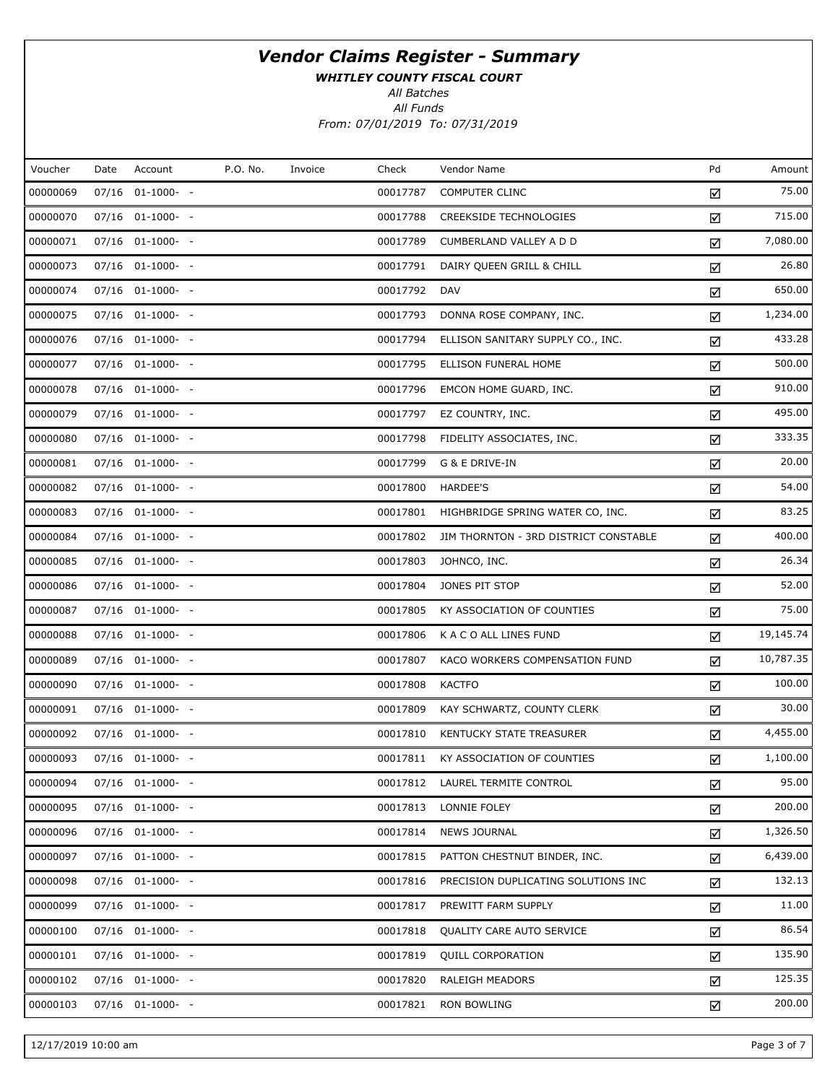WHITLEY COUNTY FISCAL COURT

All Batches

All Funds From: 07/01/2019 To: 07/31/2019

| Voucher  | Date | Account               | P.O. No. | Invoice | Check    | Vendor Name                           | Pd | Amount    |
|----------|------|-----------------------|----------|---------|----------|---------------------------------------|----|-----------|
| 00000069 |      | 07/16 01-1000- -      |          |         | 00017787 | <b>COMPUTER CLINC</b>                 | ☑  | 75.00     |
| 00000070 |      | 07/16 01-1000- -      |          |         | 00017788 | CREEKSIDE TECHNOLOGIES                | ☑  | 715.00    |
| 00000071 |      | $07/16$ $01-1000-$ -  |          |         | 00017789 | CUMBERLAND VALLEY A D D               | ☑  | 7,080.00  |
| 00000073 |      | 07/16 01-1000- -      |          |         | 00017791 | DAIRY QUEEN GRILL & CHILL             | ☑  | 26.80     |
| 00000074 |      | 07/16 01-1000- -      |          |         | 00017792 | <b>DAV</b>                            | ☑  | 650.00    |
| 00000075 |      | 07/16 01-1000- -      |          |         | 00017793 | DONNA ROSE COMPANY, INC.              | ☑  | 1,234.00  |
| 00000076 |      | 07/16 01-1000- -      |          |         | 00017794 | ELLISON SANITARY SUPPLY CO., INC.     | ☑  | 433.28    |
| 00000077 |      | 07/16 01-1000- -      |          |         | 00017795 | ELLISON FUNERAL HOME                  | ☑  | 500.00    |
| 00000078 |      | 07/16 01-1000- -      |          |         | 00017796 | EMCON HOME GUARD, INC.                | ☑  | 910.00    |
| 00000079 |      | 07/16 01-1000- -      |          |         |          | 00017797 EZ COUNTRY, INC.             | ☑  | 495.00    |
| 00000080 |      | $07/16$ $01-1000-$ -  |          |         | 00017798 | FIDELITY ASSOCIATES, INC.             | ☑  | 333.35    |
| 00000081 |      | 07/16 01-1000- -      |          |         | 00017799 | G & E DRIVE-IN                        | ☑  | 20.00     |
| 00000082 |      | 07/16 01-1000- -      |          |         | 00017800 | <b>HARDEE'S</b>                       | ☑  | 54.00     |
| 00000083 |      | 07/16 01-1000- -      |          |         | 00017801 | HIGHBRIDGE SPRING WATER CO, INC.      | ☑  | 83.25     |
| 00000084 |      | 07/16 01-1000- -      |          |         | 00017802 | JIM THORNTON - 3RD DISTRICT CONSTABLE | ☑  | 400.00    |
| 00000085 |      | 07/16 01-1000- -      |          |         | 00017803 | JOHNCO, INC.                          | ☑  | 26.34     |
| 00000086 |      | 07/16 01-1000- -      |          |         | 00017804 | JONES PIT STOP                        | ☑  | 52.00     |
| 00000087 |      | 07/16 01-1000- -      |          |         | 00017805 | KY ASSOCIATION OF COUNTIES            | ☑  | 75.00     |
| 00000088 |      | 07/16 01-1000- -      |          |         | 00017806 | K A C O ALL LINES FUND                | ☑  | 19,145.74 |
| 00000089 |      | 07/16 01-1000- -      |          |         | 00017807 | KACO WORKERS COMPENSATION FUND        | ☑  | 10,787.35 |
| 00000090 |      | 07/16 01-1000- -      |          |         | 00017808 | <b>KACTFO</b>                         | ☑  | 100.00    |
| 00000091 |      | 07/16 01-1000- -      |          |         | 00017809 | KAY SCHWARTZ, COUNTY CLERK            | ☑  | 30.00     |
| 00000092 |      | 07/16 01-1000- -      |          |         | 00017810 | KENTUCKY STATE TREASURER              | ☑  | 4,455.00  |
| 00000093 |      | 07/16 01-1000- -      |          |         | 00017811 | KY ASSOCIATION OF COUNTIES            | ☑  | 1,100.00  |
| 00000094 |      | 07/16 01-1000- -      |          |         |          | 00017812 LAUREL TERMITE CONTROL       | ☑  | 95.00     |
| 00000095 |      | $07/16$ $01-1000$ - - |          |         | 00017813 | LONNIE FOLEY                          | ☑  | 200.00    |
| 00000096 |      | 07/16 01-1000- -      |          |         | 00017814 | <b>NEWS JOURNAL</b>                   | ☑  | 1,326.50  |
| 00000097 |      | $07/16$ $01-1000$ - - |          |         | 00017815 | PATTON CHESTNUT BINDER, INC.          | ☑  | 6,439.00  |
| 00000098 |      | 07/16 01-1000- -      |          |         | 00017816 | PRECISION DUPLICATING SOLUTIONS INC   | ☑  | 132.13    |
| 00000099 |      | $07/16$ $01-1000$ - - |          |         | 00017817 | PREWITT FARM SUPPLY                   | ☑  | 11.00     |
| 00000100 |      | $07/16$ $01-1000-$ -  |          |         | 00017818 | QUALITY CARE AUTO SERVICE             | ☑  | 86.54     |
| 00000101 |      | $07/16$ $01-1000$ - - |          |         | 00017819 | QUILL CORPORATION                     | ☑  | 135.90    |
| 00000102 |      | $07/16$ $01-1000$ - - |          |         | 00017820 | <b>RALEIGH MEADORS</b>                | ☑  | 125.35    |
| 00000103 |      | 07/16 01-1000- -      |          |         | 00017821 | <b>RON BOWLING</b>                    | ☑  | 200.00    |

12/17/2019 10:00 am Page 3 of 7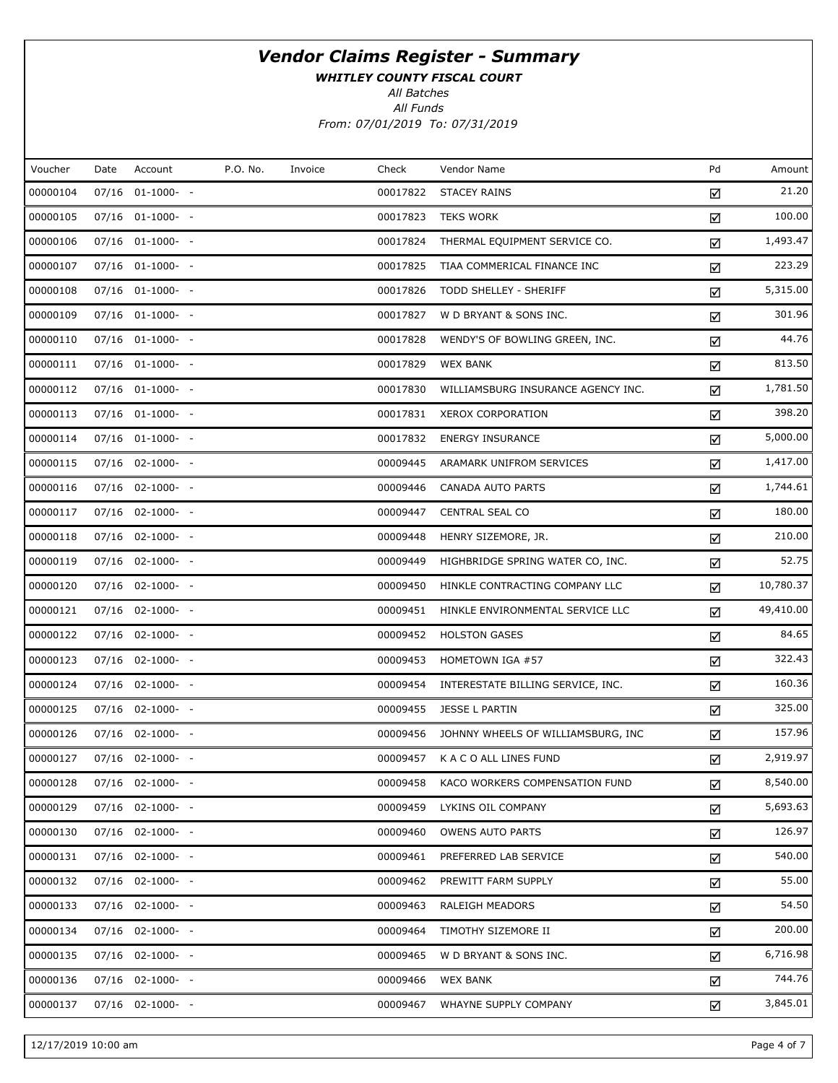WHITLEY COUNTY FISCAL COURT

All Batches

All Funds From: 07/01/2019 To: 07/31/2019

| Voucher  | Date | Account               | P.O. No. | Invoice | Check    | Vendor Name                        | Pd | Amount    |
|----------|------|-----------------------|----------|---------|----------|------------------------------------|----|-----------|
| 00000104 |      | 07/16 01-1000- -      |          |         | 00017822 | <b>STACEY RAINS</b>                | ☑  | 21.20     |
| 00000105 |      | 07/16 01-1000- -      |          |         | 00017823 | <b>TEKS WORK</b>                   | ☑  | 100.00    |
| 00000106 |      | 07/16 01-1000- -      |          |         | 00017824 | THERMAL EQUIPMENT SERVICE CO.      | ☑  | 1,493.47  |
| 00000107 |      | 07/16 01-1000- -      |          |         | 00017825 | TIAA COMMERICAL FINANCE INC        | ☑  | 223.29    |
| 00000108 |      | 07/16 01-1000- -      |          |         | 00017826 | TODD SHELLEY - SHERIFF             | ☑  | 5,315.00  |
| 00000109 |      | 07/16 01-1000- -      |          |         | 00017827 | W D BRYANT & SONS INC.             | ☑  | 301.96    |
| 00000110 |      | 07/16 01-1000- -      |          |         | 00017828 | WENDY'S OF BOWLING GREEN, INC.     | ☑  | 44.76     |
| 00000111 |      | 07/16 01-1000- -      |          |         | 00017829 | <b>WEX BANK</b>                    | ☑  | 813.50    |
| 00000112 |      | 07/16 01-1000- -      |          |         | 00017830 | WILLIAMSBURG INSURANCE AGENCY INC. | ☑  | 1,781.50  |
| 00000113 |      | 07/16 01-1000- -      |          |         | 00017831 | <b>XEROX CORPORATION</b>           | ☑  | 398.20    |
| 00000114 |      | 07/16 01-1000- -      |          |         | 00017832 | <b>ENERGY INSURANCE</b>            | ☑  | 5,000.00  |
| 00000115 |      | 07/16 02-1000- -      |          |         | 00009445 | ARAMARK UNIFROM SERVICES           | ☑  | 1,417.00  |
| 00000116 |      | 07/16 02-1000- -      |          |         | 00009446 | CANADA AUTO PARTS                  | ☑  | 1,744.61  |
| 00000117 |      | 07/16 02-1000- -      |          |         | 00009447 | <b>CENTRAL SEAL CO</b>             | ☑  | 180.00    |
| 00000118 |      | 07/16 02-1000- -      |          |         | 00009448 | HENRY SIZEMORE, JR.                | ☑  | 210.00    |
| 00000119 |      | 07/16 02-1000- -      |          |         | 00009449 | HIGHBRIDGE SPRING WATER CO, INC.   | ☑  | 52.75     |
| 00000120 |      | 07/16 02-1000- -      |          |         | 00009450 | HINKLE CONTRACTING COMPANY LLC     | ☑  | 10,780.37 |
| 00000121 |      | 07/16 02-1000- -      |          |         | 00009451 | HINKLE ENVIRONMENTAL SERVICE LLC   | ☑  | 49,410.00 |
| 00000122 |      | 07/16 02-1000- -      |          |         | 00009452 | <b>HOLSTON GASES</b>               | ☑  | 84.65     |
| 00000123 |      | 07/16 02-1000- -      |          |         | 00009453 | HOMETOWN IGA #57                   | ☑  | 322.43    |
| 00000124 |      | 07/16 02-1000- -      |          |         | 00009454 | INTERESTATE BILLING SERVICE, INC.  | ☑  | 160.36    |
| 00000125 |      | $07/16$ $02-1000-$ -  |          |         | 00009455 | <b>JESSE L PARTIN</b>              | ☑  | 325.00    |
| 00000126 |      | 07/16 02-1000- -      |          |         | 00009456 | JOHNNY WHEELS OF WILLIAMSBURG, INC | ☑  | 157.96    |
| 00000127 |      | 07/16 02-1000- -      |          |         | 00009457 | K A C O ALL LINES FUND             | ☑  | 2,919.97  |
| 00000128 |      | 07/16 02-1000- -      |          |         | 00009458 | KACO WORKERS COMPENSATION FUND     | ☑  | 8,540.00  |
| 00000129 |      | $07/16$ $02-1000$ - - |          |         | 00009459 | LYKINS OIL COMPANY                 | ☑  | 5,693.63  |
| 00000130 |      | 07/16 02-1000- -      |          |         | 00009460 | <b>OWENS AUTO PARTS</b>            | ☑  | 126.97    |
| 00000131 |      | $07/16$ $02-1000$ - - |          |         | 00009461 | PREFERRED LAB SERVICE              | ☑  | 540.00    |
| 00000132 |      | 07/16 02-1000- -      |          |         | 00009462 | PREWITT FARM SUPPLY                | ☑  | 55.00     |
| 00000133 |      | 07/16 02-1000- -      |          |         | 00009463 | <b>RALEIGH MEADORS</b>             | ☑  | 54.50     |
| 00000134 |      | 07/16 02-1000- -      |          |         | 00009464 | TIMOTHY SIZEMORE II                | ☑  | 200.00    |
| 00000135 |      | 07/16 02-1000- -      |          |         | 00009465 | W D BRYANT & SONS INC.             | ☑  | 6,716.98  |
| 00000136 |      | 07/16 02-1000- -      |          |         | 00009466 | <b>WEX BANK</b>                    | ☑  | 744.76    |
| 00000137 |      | $07/16$ 02-1000- -    |          |         | 00009467 | WHAYNE SUPPLY COMPANY              | ☑  | 3,845.01  |

12/17/2019 10:00 am Page 4 of 7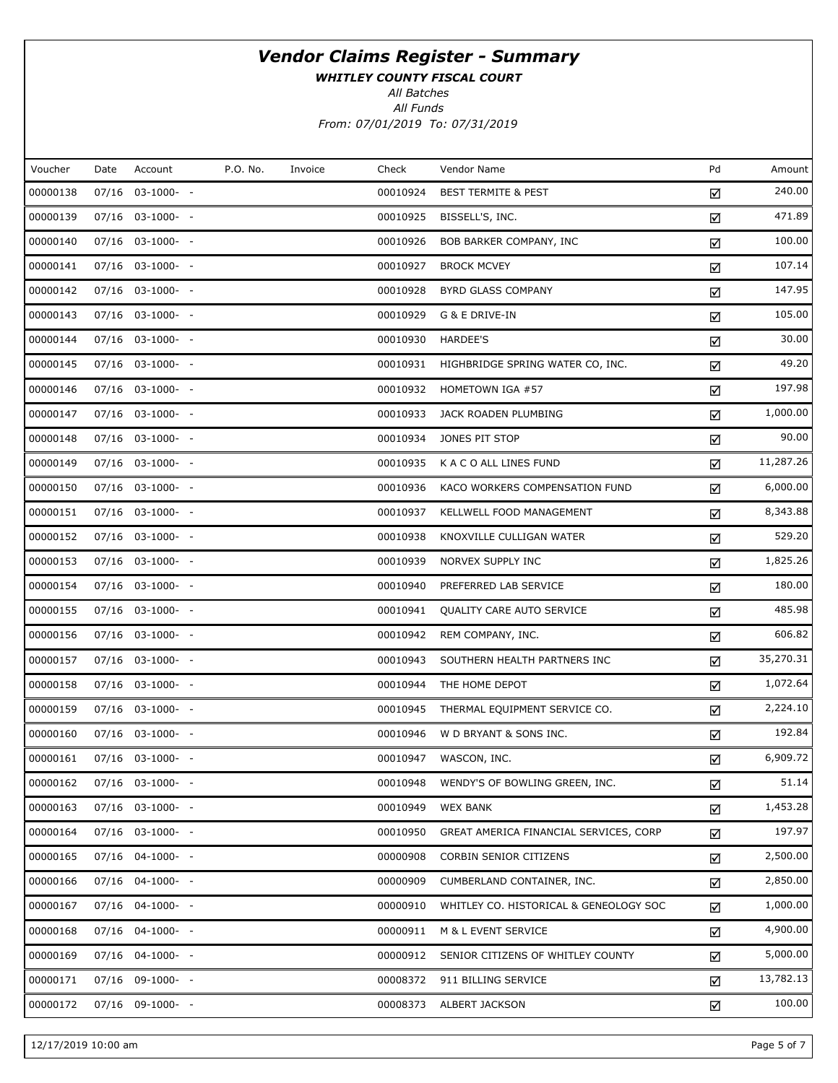WHITLEY COUNTY FISCAL COURT

All Batches

All Funds From: 07/01/2019 To: 07/31/2019

| Voucher  | Date | Account            | P.O. No. | Invoice | Check    | Vendor Name                            | Pd | Amount    |
|----------|------|--------------------|----------|---------|----------|----------------------------------------|----|-----------|
| 00000138 |      | 07/16 03-1000- -   |          |         | 00010924 | <b>BEST TERMITE &amp; PEST</b>         | ☑  | 240.00    |
| 00000139 |      | 07/16 03-1000- -   |          |         | 00010925 | BISSELL'S, INC.                        | ☑  | 471.89    |
| 00000140 |      | 07/16 03-1000- -   |          |         | 00010926 | BOB BARKER COMPANY, INC                | ☑  | 100.00    |
| 00000141 |      | 07/16 03-1000- -   |          |         | 00010927 | <b>BROCK MCVEY</b>                     | ☑  | 107.14    |
| 00000142 |      | 07/16 03-1000- -   |          |         | 00010928 | BYRD GLASS COMPANY                     | ☑  | 147.95    |
| 00000143 |      | 07/16 03-1000- -   |          |         | 00010929 | G & E DRIVE-IN                         | ☑  | 105.00    |
| 00000144 |      | 07/16 03-1000- -   |          |         | 00010930 | HARDEE'S                               | ☑  | 30.00     |
| 00000145 |      | $07/16$ 03-1000- - |          |         | 00010931 | HIGHBRIDGE SPRING WATER CO, INC.       | ☑  | 49.20     |
| 00000146 |      | 07/16 03-1000- -   |          |         | 00010932 | HOMETOWN IGA #57                       | ☑  | 197.98    |
| 00000147 |      | $07/16$ 03-1000- - |          |         | 00010933 | JACK ROADEN PLUMBING                   | ☑  | 1,000.00  |
| 00000148 |      | 07/16 03-1000- -   |          |         | 00010934 | JONES PIT STOP                         | ☑  | 90.00     |
| 00000149 |      | $07/16$ 03-1000- - |          |         | 00010935 | K A C O ALL LINES FUND                 | ☑  | 11,287.26 |
| 00000150 |      | 07/16 03-1000- -   |          |         | 00010936 | KACO WORKERS COMPENSATION FUND         | ☑  | 6,000.00  |
| 00000151 |      | 07/16 03-1000- -   |          |         | 00010937 | KELLWELL FOOD MANAGEMENT               | ☑  | 8,343.88  |
| 00000152 |      | 07/16 03-1000- -   |          |         | 00010938 | KNOXVILLE CULLIGAN WATER               | ☑  | 529.20    |
| 00000153 |      | 07/16 03-1000- -   |          |         | 00010939 | NORVEX SUPPLY INC                      | ☑  | 1,825.26  |
| 00000154 |      | 07/16 03-1000- -   |          |         | 00010940 | PREFERRED LAB SERVICE                  | ☑  | 180.00    |
| 00000155 |      | 07/16 03-1000- -   |          |         | 00010941 | QUALITY CARE AUTO SERVICE              | ☑  | 485.98    |
| 00000156 |      | 07/16 03-1000- -   |          |         | 00010942 | REM COMPANY, INC.                      | ☑  | 606.82    |
| 00000157 |      | 07/16 03-1000- -   |          |         | 00010943 | SOUTHERN HEALTH PARTNERS INC           | ☑  | 35,270.31 |
| 00000158 |      | 07/16 03-1000- -   |          |         | 00010944 | THE HOME DEPOT                         | ☑  | 1,072.64  |
| 00000159 |      | 07/16 03-1000- -   |          |         | 00010945 | THERMAL EQUIPMENT SERVICE CO.          | ☑  | 2,224.10  |
| 00000160 |      | 07/16 03-1000- -   |          |         | 00010946 | W D BRYANT & SONS INC.                 | ☑  | 192.84    |
| 00000161 |      | 07/16 03-1000- -   |          |         | 00010947 | WASCON, INC.                           | ☑  | 6,909.72  |
| 00000162 |      | 07/16 03-1000- -   |          |         | 00010948 | WENDY'S OF BOWLING GREEN, INC.         | ☑  | 51.14     |
| 00000163 |      | 07/16 03-1000- -   |          |         | 00010949 | <b>WEX BANK</b>                        | ☑  | 1,453.28  |
| 00000164 |      | 07/16 03-1000- -   |          |         | 00010950 | GREAT AMERICA FINANCIAL SERVICES, CORP | ☑  | 197.97    |
| 00000165 |      | 07/16 04-1000- -   |          |         | 00000908 | CORBIN SENIOR CITIZENS                 | ☑  | 2,500.00  |
| 00000166 |      | 07/16 04-1000- -   |          |         | 00000909 | CUMBERLAND CONTAINER, INC.             | ☑  | 2,850.00  |
| 00000167 |      | 07/16 04-1000- -   |          |         | 00000910 | WHITLEY CO. HISTORICAL & GENEOLOGY SOC | ☑  | 1,000.00  |
| 00000168 |      | 07/16 04-1000- -   |          |         | 00000911 | M & L EVENT SERVICE                    | ☑  | 4,900.00  |
| 00000169 |      | 07/16 04-1000- -   |          |         | 00000912 | SENIOR CITIZENS OF WHITLEY COUNTY      | ☑  | 5,000.00  |
| 00000171 |      | 07/16 09-1000- -   |          |         | 00008372 | 911 BILLING SERVICE                    | ☑  | 13,782.13 |
| 00000172 |      | 07/16 09-1000- -   |          |         | 00008373 | ALBERT JACKSON                         | ☑  | 100.00    |

12/17/2019 10:00 am Page 5 of 7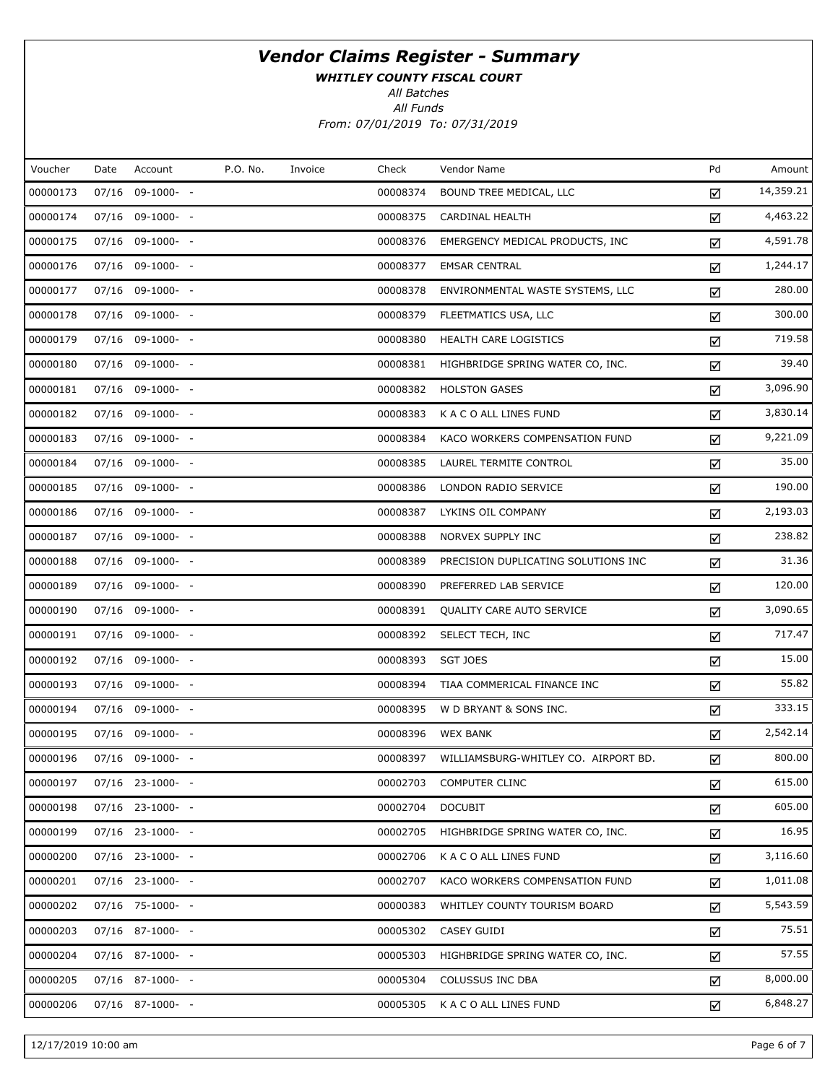WHITLEY COUNTY FISCAL COURT

All Batches

All Funds From: 07/01/2019 To: 07/31/2019

| Voucher  | Date | Account          | P.O. No. | Invoice | Check    | Vendor Name                          | Pd | Amount    |
|----------|------|------------------|----------|---------|----------|--------------------------------------|----|-----------|
| 00000173 |      | 07/16 09-1000- - |          |         | 00008374 | BOUND TREE MEDICAL, LLC              | ☑  | 14,359.21 |
| 00000174 |      | 07/16 09-1000- - |          |         | 00008375 | CARDINAL HEALTH                      | ☑  | 4,463.22  |
| 00000175 |      | 07/16 09-1000- - |          |         | 00008376 | EMERGENCY MEDICAL PRODUCTS, INC.     | ☑  | 4,591.78  |
| 00000176 |      | 07/16 09-1000- - |          |         | 00008377 | <b>EMSAR CENTRAL</b>                 | ☑  | 1,244.17  |
| 00000177 |      | 07/16 09-1000- - |          |         | 00008378 | ENVIRONMENTAL WASTE SYSTEMS, LLC     | ☑  | 280.00    |
| 00000178 |      | 07/16 09-1000- - |          |         | 00008379 | FLEETMATICS USA, LLC                 | ☑  | 300.00    |
| 00000179 |      | 07/16 09-1000- - |          |         | 00008380 | HEALTH CARE LOGISTICS                | ☑  | 719.58    |
| 00000180 |      | 07/16 09-1000- - |          |         | 00008381 | HIGHBRIDGE SPRING WATER CO, INC.     | ☑  | 39.40     |
| 00000181 |      | 07/16 09-1000- - |          |         | 00008382 | <b>HOLSTON GASES</b>                 | ☑  | 3,096.90  |
| 00000182 |      | 07/16 09-1000- - |          |         | 00008383 | K A C O ALL LINES FUND               | ☑  | 3,830.14  |
| 00000183 |      | 07/16 09-1000- - |          |         | 00008384 | KACO WORKERS COMPENSATION FUND       | ☑  | 9,221.09  |
| 00000184 |      | 07/16 09-1000- - |          |         | 00008385 | LAUREL TERMITE CONTROL               | ☑  | 35.00     |
| 00000185 |      | 07/16 09-1000- - |          |         | 00008386 | LONDON RADIO SERVICE                 | ☑  | 190.00    |
| 00000186 |      | 07/16 09-1000- - |          |         | 00008387 | LYKINS OIL COMPANY                   | ☑  | 2,193.03  |
| 00000187 |      | 07/16 09-1000- - |          |         | 00008388 | NORVEX SUPPLY INC                    | ☑  | 238.82    |
| 00000188 |      | 07/16 09-1000- - |          |         | 00008389 | PRECISION DUPLICATING SOLUTIONS INC  | ☑  | 31.36     |
| 00000189 |      | 07/16 09-1000- - |          |         | 00008390 | PREFERRED LAB SERVICE                | ☑  | 120.00    |
| 00000190 |      | 07/16 09-1000- - |          |         | 00008391 | QUALITY CARE AUTO SERVICE            | ☑  | 3,090.65  |
| 00000191 |      | 07/16 09-1000- - |          |         | 00008392 | SELECT TECH, INC                     | ☑  | 717.47    |
| 00000192 |      | 07/16 09-1000- - |          |         | 00008393 | <b>SGT JOES</b>                      | ☑  | 15.00     |
| 00000193 |      | 07/16 09-1000- - |          |         | 00008394 | TIAA COMMERICAL FINANCE INC          | ☑  | 55.82     |
| 00000194 |      | 07/16 09-1000- - |          |         | 00008395 | W D BRYANT & SONS INC.               | ☑  | 333.15    |
| 00000195 |      | 07/16 09-1000- - |          |         | 00008396 | <b>WEX BANK</b>                      | ☑  | 2,542.14  |
| 00000196 |      | 07/16 09-1000- - |          |         | 00008397 | WILLIAMSBURG-WHITLEY CO. AIRPORT BD. | ☑  | 800.00    |
| 00000197 |      | 07/16 23-1000- - |          |         | 00002703 | <b>COMPUTER CLINC</b>                | ☑  | 615.00    |
| 00000198 |      | 07/16 23-1000- - |          |         | 00002704 | <b>DOCUBIT</b>                       | ☑  | 605.00    |
| 00000199 |      | 07/16 23-1000- - |          |         | 00002705 | HIGHBRIDGE SPRING WATER CO, INC.     | ☑  | 16.95     |
| 00000200 |      | 07/16 23-1000- - |          |         | 00002706 | K A C O ALL LINES FUND               | ☑  | 3,116.60  |
| 00000201 |      | 07/16 23-1000- - |          |         | 00002707 | KACO WORKERS COMPENSATION FUND       | ☑  | 1,011.08  |
| 00000202 |      | 07/16 75-1000- - |          |         | 00000383 | WHITLEY COUNTY TOURISM BOARD         | ☑  | 5,543.59  |
| 00000203 |      | 07/16 87-1000- - |          |         | 00005302 | CASEY GUIDI                          | ☑  | 75.51     |
| 00000204 |      | 07/16 87-1000- - |          |         | 00005303 | HIGHBRIDGE SPRING WATER CO, INC.     | ☑  | 57.55     |
| 00000205 |      | 07/16 87-1000- - |          |         | 00005304 | COLUSSUS INC DBA                     | ☑  | 8,000.00  |
| 00000206 |      | 07/16 87-1000- - |          |         | 00005305 | K A C O ALL LINES FUND               | ☑  | 6,848.27  |

12/17/2019 10:00 am Page 6 of 7